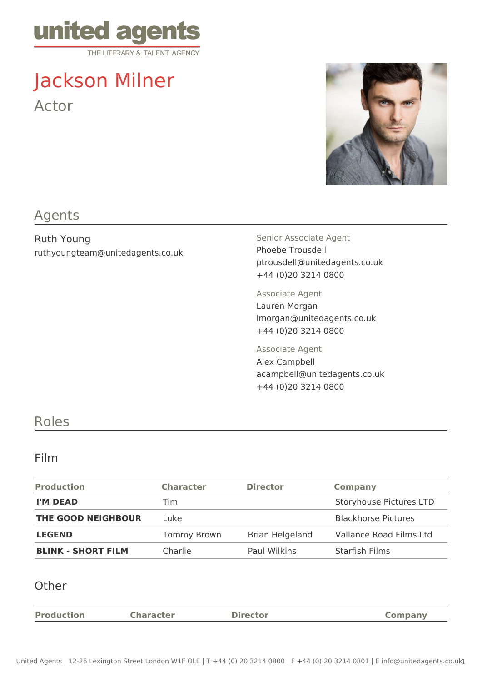

# Jackson Milner Actor



## Agents

Ruth Young ruthyoungteam@unitedagents.co.uk Senior Associate Agent Phoebe Trousdell ptrousdell@unitedagents.co.uk +44 (0)20 3214 0800

Associate Agent Lauren Morgan lmorgan@unitedagents.co.uk +44 (0)20 3214 0800

Associate Agent Alex Campbell acampbell@unitedagents.co.uk +44 (0)20 3214 0800

## Roles

#### Film

| <b>Production</b>         | <b>Character</b>   | <b>Director</b> | <b>Company</b>             |
|---------------------------|--------------------|-----------------|----------------------------|
| <b>I'M DEAD</b>           | Tim                |                 | Storyhouse Pictures LTD    |
| THE GOOD NEIGHBOUR        | Luke               |                 | <b>Blackhorse Pictures</b> |
| <b>LEGEND</b>             | <b>Tommy Brown</b> | Brian Helgeland | Vallance Road Films Ltd    |
| <b>BLINK - SHORT FILM</b> | Charlie            | Paul Wilkins    | Starfish Films             |

#### **Other**

| <b>Production</b> | <b>Character</b> | <b>Director</b> | <b>Company</b> |
|-------------------|------------------|-----------------|----------------|
|                   |                  |                 |                |